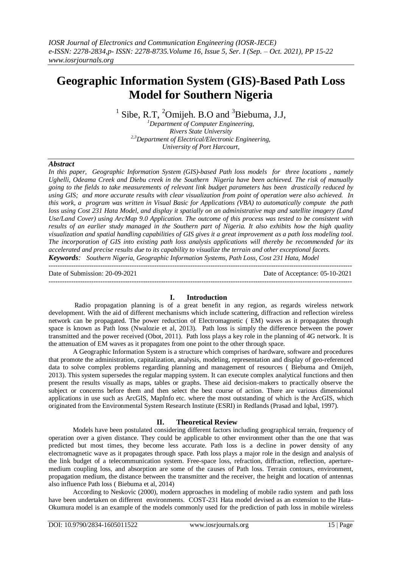# **Geographic Information System (GIS)-Based Path Loss Model for Southern Nigeria**

 $<sup>1</sup>$  Sibe, R.T,  $<sup>2</sup>$ Omijeh. B.O and  $<sup>3</sup>$ Biebuma, J.J,</sup></sup></sup>

*<sup>1</sup>Department of Computer Engineering, Rivers State University 2,3Department of Electrical/Electronic Engineering, University of Port Harcourt,* 

## *Abstract*

*In this paper, Geographic Information System (GIS)-based Path loss models for three locations , namely Ughelli, Odeama Creek and Diebu creek in the Southern Nigeria have been achieved. The risk of manually going to the fields to take measurements of relevant link budget parameters has been drastically reduced by using GIS; and more accurate results with clear visualization from point of operation were also achieved. In this work, a program was written in Visual Basic for Applications (VBA) to automatically compute the path loss using Cost 231 Hata Model, and display it spatially on an administrative map and satellite imagery (Land Use/Land Cover) using ArcMap 9.0 Application. The outcome of this process was tested to be consistent with results of an earlier study managed in the Southern part of Nigeria. It also exhibits how the high quality visualization and spatial handling capabilities of GIS gives it a great improvement as a path loss modeling tool. The incorporation of GIS into existing path loss analysis applications will thereby be recommended for its accelerated and precise results due to its capability to visualize the terrain and other exceptional facets. Keywords: Southern Nigeria, Geographic Information Systems, Path Loss, Cost 231 Hata, Model*

--------------------------------------------------------------------------------------------------------------------------------------- Date of Submission: 20-09-2021 Date of Acceptance: 05-10-2021

---------------------------------------------------------------------------------------------------------------------------------------

## **I. Introduction**

Radio propagation planning is of a great benefit in any region, as regards wireless network development. With the aid of different mechanisms which include scattering, diffraction and reflection wireless network can be propagated. The power reduction of Electromagnetic ( EM) waves as it propagates through space is known as Path loss (Nwalozie et al, 2013). Path loss is simply the difference between the power transmitted and the power received (Obot, 2011). Path loss plays a key role in the planning of 4G network. It is the attenuation of EM waves as it propagates from one point to the other through space.

A Geographic Information System is a structure which comprises of hardware, software and procedures that promote the administration, capitalization, analysis, modeling, representation and display of geo-referenced data to solve complex problems regarding planning and management of resources ( Biebuma and Omijeh, 2013). This system supersedes the regular mapping system. It can execute complex analytical functions and then present the results visually as maps, tables or graphs. These aid decision-makers to practically observe the subject or concerns before them and then select the best course of action. There are various dimensional applications in use such as ArcGIS, MapInfo etc. where the most outstanding of which is the ArcGIS, which originated from the Environmental System Research Institute (ESRI) in Redlands (Prasad and Iqbal, 1997).

#### **II. Theoretical Review**

Models have been postulated considering different factors including geographical terrain, frequency of operation over a given distance. They could be applicable to other environment other than the one that was predicted but most times, they become less accurate. Path loss is a decline in power density of any electromagnetic wave as it propagates through space. Path loss plays a major role in the design and analysis of the link budget of a telecommunication system. Free-space loss, refraction, diffraction, reflection, aperturemedium coupling loss, and absorption are some of the causes of Path loss. Terrain contours, environment, propagation medium, the distance between the transmitter and the receiver, the height and location of antennas also influence Path loss ( Biebuma et al, 2014)

According to Neskovic (2000), modern approaches in modeling of mobile radio system and path loss have been undertaken on different environments. COST-231 Hata model devised as an extension to the Hata-Okumura model is an example of the models commonly used for the prediction of path loss in mobile wireless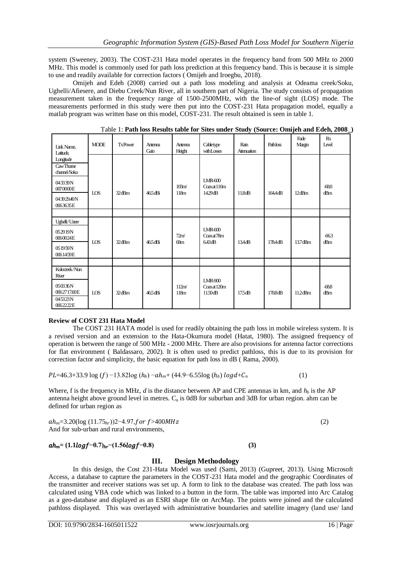system (Sweeney, 2003). The COST-231 Hata model operates in the frequency band from 500 MHz to 2000 MHz. This model is commonly used for path loss prediction at this frequency band. This is because it is simple to use and readily available for correction factors ( Omijeh and Iroegbu, 2018).

Omijeh and Edeh (2008) carried out a path loss modeling and analysis at Odeama creek/Soku, Ughelli/Afiesere, and Diebu Creek/Nun River, all in southern part of Nigeria. The study consists of propagation measurement taken in the frequency range of 1500-2500MHz, with the line-of sight (LOS) mode. The measurements performed in this study were then put into the COST-231 Hata propagation model, equally a matlab program was written base on this model, COST-231. The result obtained is seen in table 1.

| Link Name,<br>Latitude,                                                                | <b>MODE</b> | <b>TxPower</b> | Antenna<br>Gain | Antenna<br>Height | Cabletype<br>withLosses                          | Rain<br>Attenuation | Pathloss | Fade<br>Margin | Rx<br>Level    |
|----------------------------------------------------------------------------------------|-------------|----------------|-----------------|-------------------|--------------------------------------------------|---------------------|----------|----------------|----------------|
| Longitude<br>CawThome<br>channel/Soku<br>043339N<br>0070000E<br>043929.40N<br>0063635E | LOS         | 32dBm          | 465dBi          | 103m<br>118m      | $LMR=600$<br>$C$ o $ax$ at 110m<br>14.29dB       | $11.8$ d $B$        | 164.4dB  | 12dBm          | $-680$<br>dBm  |
|                                                                                        |             |                |                 |                   |                                                  |                     |          |                |                |
| Ughelli/Uzere<br>052919N<br>0060024E<br>051959N<br>0061459E                            | LOS         | 32dBm          | 465dBi          | 72m<br>68m        | $LMR=600$<br>Coaxat78m<br>643dB                  | 13.4dB              | 178.4dB  | 13.7dBr        | $-663$<br>dBm  |
|                                                                                        |             |                |                 |                   |                                                  |                     |          |                |                |
| Kolocreek/Nun<br>River<br>050336N<br>006271760E<br>045323N<br>0062222E                 | LOS         | 32dBr          | 46.5dBi         | 112m'<br>118m     | <b>LMR-900</b><br>$C\alpha x$ at 120m<br>11.50dB | 175dB               | 170.8dB  | 112dBr         | $-68.8$<br>dBm |

Table 1: **Path loss Results table for Sites under Study (Source: Omijeh and Edeh, 2008\_)**

#### **Review of COST 231 Hata Model**

The COST 231 HATA model is used for readily obtaining the path loss in mobile wireless system. It is a revised version and an extension to the Hata-Okumura model (Hatat, 1980). The assigned frequency of operation is between the range of 500 MHz - 2000 MHz. There are also provisions for antenna factor corrections for flat environment ( Baldassaro, 2002). It is often used to predict pathloss, this is due to its provision for correction factor and simplicity, the basic equation for path loss in dB ( Rama, 2000).

$$
PL=46.3+33.9 \log(f)-13.82 \log(h_b)-ah_m+(44.9-6.55 \log(h_b) \log(d+C_n))
$$
 (1)

Where, f is the frequency in MHz, *d* is the distance between AP and CPE antennas in km, and  $h_b$  is the AP antenna height above ground level in metres.  $C_n$  is 0dB for suburban and 3dB for urban region. ahm can be defined for urban region as

| ah <sub>m</sub> =3.20(log $(11.75hr))2-4.97$ , f or f >400MHz | (2) |
|---------------------------------------------------------------|-----|
| And for sub-urban and rural environments,                     |     |

### $ah_m = (1.1 \log f - 0.7)_{hr} - (1.56 \log f - 0.8)$  (3)

# **III. Design Methodology**

In this design, the Cost 231-Hata Model was used (Sami, 2013) (Gupreet, 2013). Using Microsoft Access, a database to capture the parameters in the COST-231 Hata model and the geographic Coordinates of the transmitter and receiver stations was set up. A form to link to the database was created. The path loss was calculated using VBA code which was linked to a button in the form. The table was imported into Arc Catalog as a geo-database and displayed as an ESRI shape file on ArcMap. The points were joined and the calculated pathloss displayed. This was overlayed with administrative boundaries and satellite imagery (land use/ land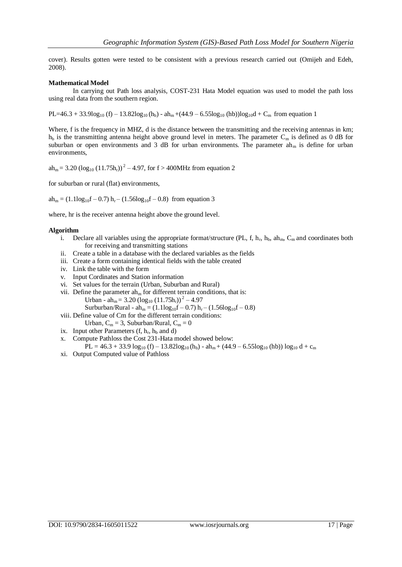cover). Results gotten were tested to be consistent with a previous research carried out (Omijeh and Edeh, 2008).

#### **Mathematical Model**

In carrying out Path loss analysis, COST-231 Hata Model equation was used to model the path loss using real data from the southern region.

 $PL=46.3 + 33.9log_{10} (f) - 13.82log_{10} (h_b) - ah_m + (44.9 - 6.55log_{10} (hb))log_{10} d + C_m$  from equation 1

Where, f is the frequency in MHZ, d is the distance between the transmitting and the receiving antennas in km;  $h_b$  is the transmitting antenna height above ground level in meters. The parameter  $C_m$  is defined as 0 dB for suburban or open environments and 3 dB for urban environments. The parameter ah<sub>m</sub> is define for urban environments,

ah<sub>m</sub> = 3.20 (log<sub>10</sub> (11.75h<sub>r</sub>))<sup>2</sup> – 4.97, for f > 400MHz from equation 2

for suburban or rural (flat) environments,

 $ah_m = (1.1log_{10}f - 0.7) h_r - (1.56log_{10}f - 0.8)$  from equation 3

where, hr is the receiver antenna height above the ground level.

#### **Algorithm**

- i. Declare all variables using the appropriate format/structure (PL, f,  $h_r$ ,  $h_b$ ,  $ah_m$ ,  $C_m$  and coordinates both for receiving and transmitting stations
- ii. Create a table in a database with the declared variables as the fields
- iii. Create a form containing identical fields with the table created
- iv. Link the table with the form
- v. Input Cordinates and Station information
- vi. Set values for the terrain (Urban, Suburban and Rural)
- vii. Define the parameter  $ah_m$  for different terrain conditions, that is: Urban - ah<sub>m</sub> = 3.20 (log<sub>10</sub> (11.75h<sub>r</sub>))<sup>2</sup> – 4.97

Surburban/Rural - ah<sub>m</sub> =  $(1.1 \log_{10}f - 0.7)$  h<sub>r</sub> –  $(1.56 \log_{10}f - 0.8)$ 

- viii. Define value of Cm for the different terrain conditions: Urban,  $C_m = 3$ , Suburban/Rural,  $C_m = 0$
- ix. Input other Parameters  $(f, h_r, h_b \text{ and } d)$
- x. Compute Pathloss the Cost 231-Hata model showed below:  $PL = 46.3 + 33.9 \log_{10} (f) - 13.82 \log_{10} (h_b) - ah_m + (44.9 - 6.55 \log_{10} (hb)) \log_{10} d + c_m$
- xi. Output Computed value of Pathloss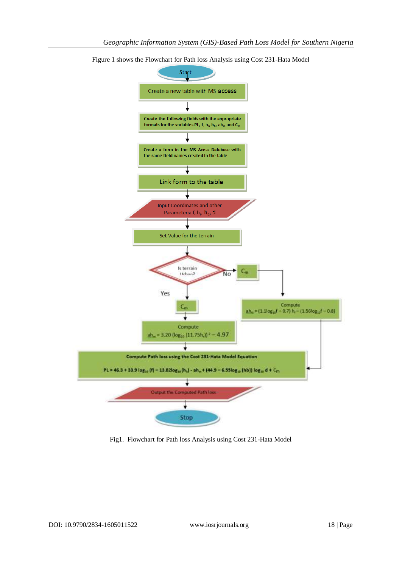

Figure 1 shows the Flowchart for Path loss Analysis using Cost 231-Hata Model

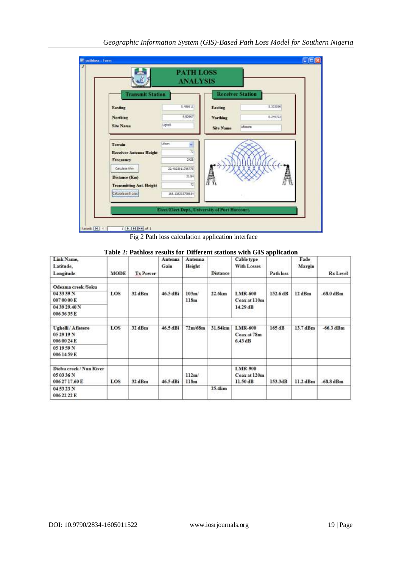| <b>Transmit Station</b>         |                    | <b>Receiver Station</b>      |          |
|---------------------------------|--------------------|------------------------------|----------|
| Easting                         | 5.488611           | Easting                      | 5.333096 |
| Northing                        | 6,00667            | <b>Northing</b>              | 6.249722 |
| <b>Site Name</b>                | Ughell             | Afessers<br><b>Site Name</b> |          |
| Terrain                         | Littans            |                              |          |
| <b>Receiver Antenna Height</b>  | 77                 |                              |          |
| <b>Frequency</b>                | 2428               |                              |          |
| Calculate After                 | 22.4523911756775   |                              |          |
| Distance (Km)                   | 31.84              |                              |          |
| <b>Transmitting Ant. Height</b> | $\overline{2}$     | fĭ                           |          |
| Calculate path Loss             | Ins. (38233798854) |                              |          |

Fig 2 Path loss calculation application interface

| Table 2: Pathloss results for Different stations with GIS application |  |  |
|-----------------------------------------------------------------------|--|--|
|                                                                       |  |  |

| Link Name,<br>Latitude,<br>Longitude                    | MODE | <b>Tx Power</b> | Antenna<br>Gain | Antenna<br>Height | <b>Distance</b> | Cable type<br>With Losses                  | Path loss | Fade<br>Margin | <b>Rx</b> Level |
|---------------------------------------------------------|------|-----------------|-----------------|-------------------|-----------------|--------------------------------------------|-----------|----------------|-----------------|
| Odeama creek /Soku<br>04 33 39 N                        | LOS  | 32 dBm          | 46.5 dBi        | 103m/<br>118m     | 22.6km          | <b>LMR-600</b><br>Coax at 110m<br>14.29 dB | 152.6 dB  | 12 dBm         | $-68.0$ dBm     |
| 0070000E<br>04 39 29.40 N<br>006 36 35 E                |      |                 |                 |                   |                 |                                            |           |                |                 |
| Ughelli / Afiesere<br>05 29 19 N<br>006 00 24 E         | LOS  | 32 dBm          | 46.5 dBi        | 72m/68m           | 31.84km         | LMR-600<br>Coax at 78m<br>$6.43$ dB        | 165 dB    | 13.7 dBm       | $-66.3$ dBm     |
| 051959N<br>0061459E                                     |      |                 |                 |                   |                 |                                            |           |                |                 |
| Diebu creek / Nun River<br>05 03 36 N<br>006 27 17.60 E | LOS  | 32 dBm          | 46.5 dBi        | 112m/<br>118m     |                 | <b>LMR-900</b><br>Coax at 120m<br>11.50 dB | 153.3dB   | $11.2$ dBm     | $-68.8$ dBm     |
| 04 53 23 N<br>006 22 22 E                               |      |                 |                 |                   | 25.4km          |                                            |           |                |                 |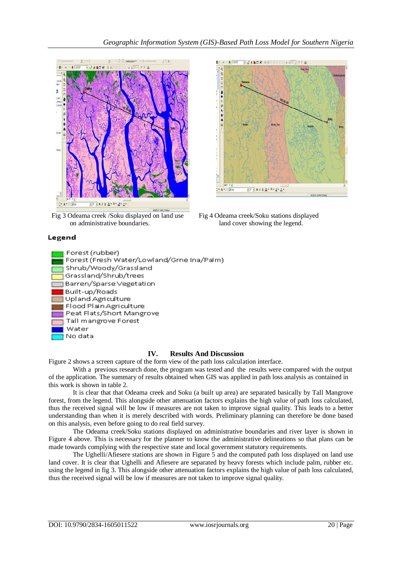

Fig 3 Odeama creek /Soku displayed on land use Fig 4 Odeama creek/Soku stations displayed on administrative boundaries. land cover showing the legend.



## Legend



# **IV. Results And Discussion**

Figure 2 shows a screen capture of the form view of the path loss calculation interface.

With a previous research done, the program was tested and the results were compared with the output of the application. The summary of results obtained when GIS was applied in path loss analysis as contained in this work is shown in table 2.

It is clear that that Odeama creek and Soku (a built up area) are separated basically by Tall Mangrove forest, from the legend. This alongside other attenuation factors explains the high value of path loss calculated, thus the received signal will be low if measures are not taken to improve signal quality. This leads to a better understanding than when it is merely described with words. Preliminary planning can therefore be done based on this analysis, even before going to do real field survey.

The Odeama creek/Soku stations displayed on administrative boundaries and river layer is shown in Figure 4 above. This is necessary for the planner to know the administrative delineations so that plans can be made towards complying with the respective state and local government statutory requirements.

The Ughelli/Afiesere stations are shown in Figure 5 and the computed path loss displayed on land use land cover. It is clear that Ughelli and Afiesere are separated by heavy forests which include palm, rubber etc. using the legend in fig 3. This alongside other attenuation factors explains the high value of path loss calculated, thus the received signal will be low if measures are not taken to improve signal quality.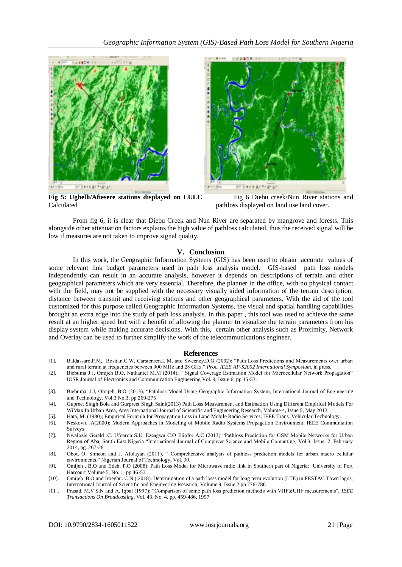

**Fig 5: Ughelli/Afiesere stations displayed on LULC** Fig 6 Diebu creek/Nun River stations and Calculated pathloss displayed on land use land cover.

From fig 6, it is clear that Diebu Creek and Nun River are separated by mangrove and forests. This alongside other attenuation factors explains the high value of pathloss calculated, thus the received signal will be low if measures are not taken to improve signal quality.

### **V. Conclusion**

In this work, the Geographic Information Systems (GIS) has been used to obtain accurate values of some relevant link budget parameters used in path loss analysis model. GIS-based path loss models independently can result in an accurate analysis, however it depends on descriptions of terrain and other geographical parameters which are very essential. Therefore, the planner in the office, with no physical contact with the field, may not be supplied with the necessary visually aided information of the terrain description, distance between transmit and receiving stations and other geographical parameters. With the aid of the tool customized for this purpose called Geographic Information Systems, the visual and spatial handling capabilities brought an extra edge into the study of path loss analysis. In this paper , this tool was used to achieve the same result at an higher speed but with a benefit of allowing the planner to visualize the terrain parameters from his display system while making accurate decisions. With this, certain other analysis such as Proximity, Network and Overlay can be used to further simplify the work of the telecommunications engineer.

#### **References**

- [1]. Baldassaro,P.M, Bostian.C.W, Carstensen.L.M, and Sweeney.D.G (2002): "Path Loss Predictions and Measurements over urban and rural terrain at frequencies between 900 MHz and 28 GHz." *Proc. IEEE AP-S2002 International Symposium*, in press.
- [2]. Biebuma J.J, Omijeh B.O, Nathaniel M.M (2014), " Signal Coverage Estimation Model for Microcellular Network Propagation" IOSR Journal of Electronics and Communication Engineering Vol. 9, Issue 6, pp 45-53.
- [3]. Biebuma, J.J, Omijeh, B.O (2013), "Pathloss Model Using Geographic Information System, International Journal of Engineering and Technology. Vol.3 No.3, pp 269-275
- [4]. Gupreet Singh Bola and Gurpreet Singh Saini(2013) Path Loss Measurement and Estimation Using Different Empirical Models For WiMax In Urban Area, Area International Journal of Scientific and Engineering Research, Volume 4, Issue 5, May 2013
- [5]. Hata, M. (1980); Empirical Formula for Propagation Loss in Land Mobile Radio Services; IEEE Trans. Vehicular Technology.
- [6]. Neskovic .A(2000); Modern Approaches in Modeling of Mobile Radio Systems Propagation Environment; IEEE Communiation Surveys
- [7]. Nwalozie Gerald .C. Ufoaroh S.U. Ezeagwu C.O Ejiofor A.C (2013) "Pathloss Prediction for GSM Mobile Networks for Urban Region of Aba, South East Nigeria "International Journal of Compuver Science and Mobile Computing, Vol.3, Issue. 2, February 2014, pg. 267-281.
- [8]. Obot, O. Simeon and J. Afolayan (2011), " Comprehensive analysis of pathloss prediction models for urban macro cellular environments." Nigerian Journal of Technology, Vol. 30.
- [9]. Omijeh , B.O and Edeh, P.O (2008); Path Loss Model for Microwave radio link in Southern part of Nigeria; University of Port Harcourt Volume 5, No. 1, pp 46-53
- [10]. Omijeh .B.O and Iroegbu. C.N ( 2018). Determination of a path losss model for long term evolution (LTE) in FESTAC Town lagos, International Journal of Scientific and Engineering Research, Volume 9, Issue 2 pp 776-786
- [11]. Prasad. M.V.S.N and A. Iqbal (1997): "Comparison of some path loss prediction methods with VHF&UHF measurements", *IEEE Transactions On Broadcasting*, Vol**.** 43, No. 4, pp. 459-486, 1997